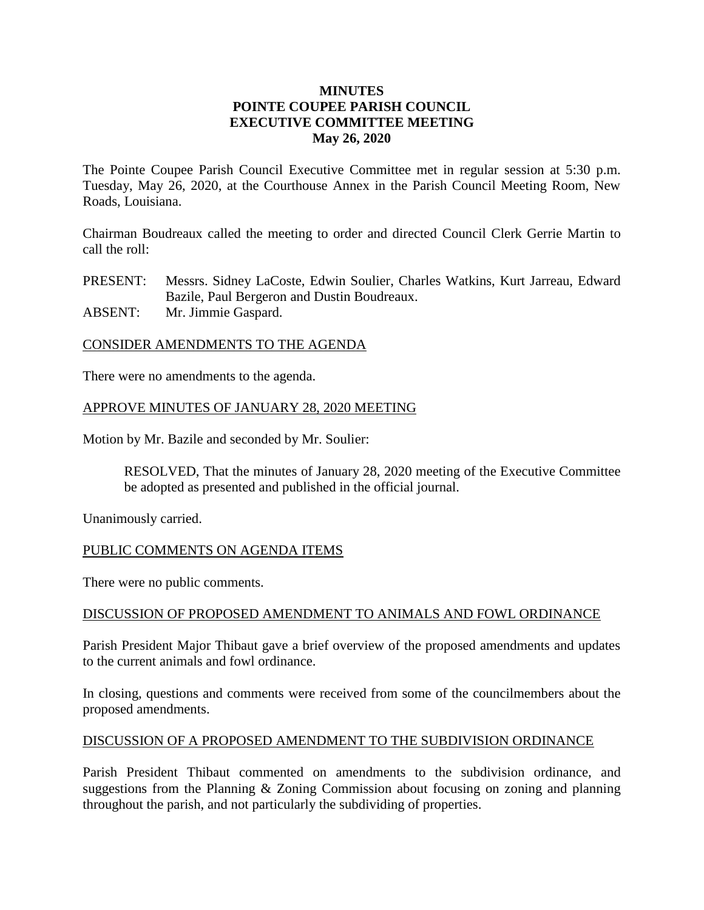### **MINUTES POINTE COUPEE PARISH COUNCIL EXECUTIVE COMMITTEE MEETING May 26, 2020**

The Pointe Coupee Parish Council Executive Committee met in regular session at 5:30 p.m. Tuesday, May 26, 2020, at the Courthouse Annex in the Parish Council Meeting Room, New Roads, Louisiana.

Chairman Boudreaux called the meeting to order and directed Council Clerk Gerrie Martin to call the roll:

PRESENT: Messrs. Sidney LaCoste, Edwin Soulier, Charles Watkins, Kurt Jarreau, Edward Bazile, Paul Bergeron and Dustin Boudreaux. ABSENT: Mr. Jimmie Gaspard.

## CONSIDER AMENDMENTS TO THE AGENDA

There were no amendments to the agenda.

#### APPROVE MINUTES OF JANUARY 28, 2020 MEETING

Motion by Mr. Bazile and seconded by Mr. Soulier:

RESOLVED, That the minutes of January 28, 2020 meeting of the Executive Committee be adopted as presented and published in the official journal.

Unanimously carried.

### PUBLIC COMMENTS ON AGENDA ITEMS

There were no public comments.

#### DISCUSSION OF PROPOSED AMENDMENT TO ANIMALS AND FOWL ORDINANCE

Parish President Major Thibaut gave a brief overview of the proposed amendments and updates to the current animals and fowl ordinance.

In closing, questions and comments were received from some of the councilmembers about the proposed amendments.

#### DISCUSSION OF A PROPOSED AMENDMENT TO THE SUBDIVISION ORDINANCE

Parish President Thibaut commented on amendments to the subdivision ordinance, and suggestions from the Planning & Zoning Commission about focusing on zoning and planning throughout the parish, and not particularly the subdividing of properties.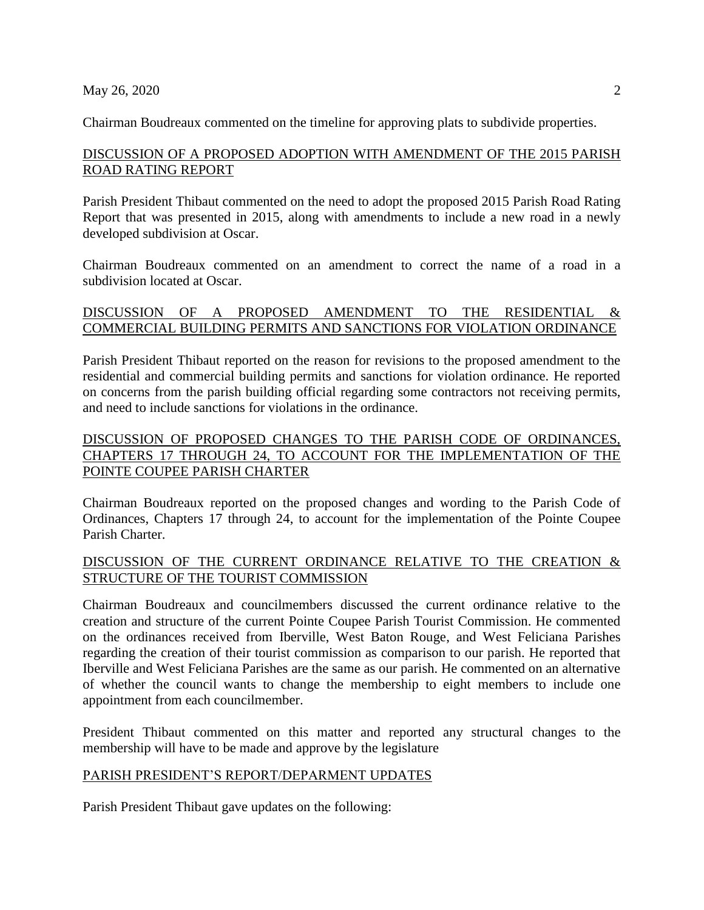Chairman Boudreaux commented on the timeline for approving plats to subdivide properties.

## DISCUSSION OF A PROPOSED ADOPTION WITH AMENDMENT OF THE 2015 PARISH ROAD RATING REPORT

Parish President Thibaut commented on the need to adopt the proposed 2015 Parish Road Rating Report that was presented in 2015, along with amendments to include a new road in a newly developed subdivision at Oscar.

Chairman Boudreaux commented on an amendment to correct the name of a road in a subdivision located at Oscar.

## DISCUSSION OF A PROPOSED AMENDMENT TO THE RESIDENTIAL & COMMERCIAL BUILDING PERMITS AND SANCTIONS FOR VIOLATION ORDINANCE

Parish President Thibaut reported on the reason for revisions to the proposed amendment to the residential and commercial building permits and sanctions for violation ordinance. He reported on concerns from the parish building official regarding some contractors not receiving permits, and need to include sanctions for violations in the ordinance.

## DISCUSSION OF PROPOSED CHANGES TO THE PARISH CODE OF ORDINANCES, CHAPTERS 17 THROUGH 24, TO ACCOUNT FOR THE IMPLEMENTATION OF THE POINTE COUPEE PARISH CHARTER

Chairman Boudreaux reported on the proposed changes and wording to the Parish Code of Ordinances, Chapters 17 through 24, to account for the implementation of the Pointe Coupee Parish Charter.

# DISCUSSION OF THE CURRENT ORDINANCE RELATIVE TO THE CREATION & STRUCTURE OF THE TOURIST COMMISSION

Chairman Boudreaux and councilmembers discussed the current ordinance relative to the creation and structure of the current Pointe Coupee Parish Tourist Commission. He commented on the ordinances received from Iberville, West Baton Rouge, and West Feliciana Parishes regarding the creation of their tourist commission as comparison to our parish. He reported that Iberville and West Feliciana Parishes are the same as our parish. He commented on an alternative of whether the council wants to change the membership to eight members to include one appointment from each councilmember.

President Thibaut commented on this matter and reported any structural changes to the membership will have to be made and approve by the legislature

### PARISH PRESIDENT'S REPORT/DEPARMENT UPDATES

Parish President Thibaut gave updates on the following: